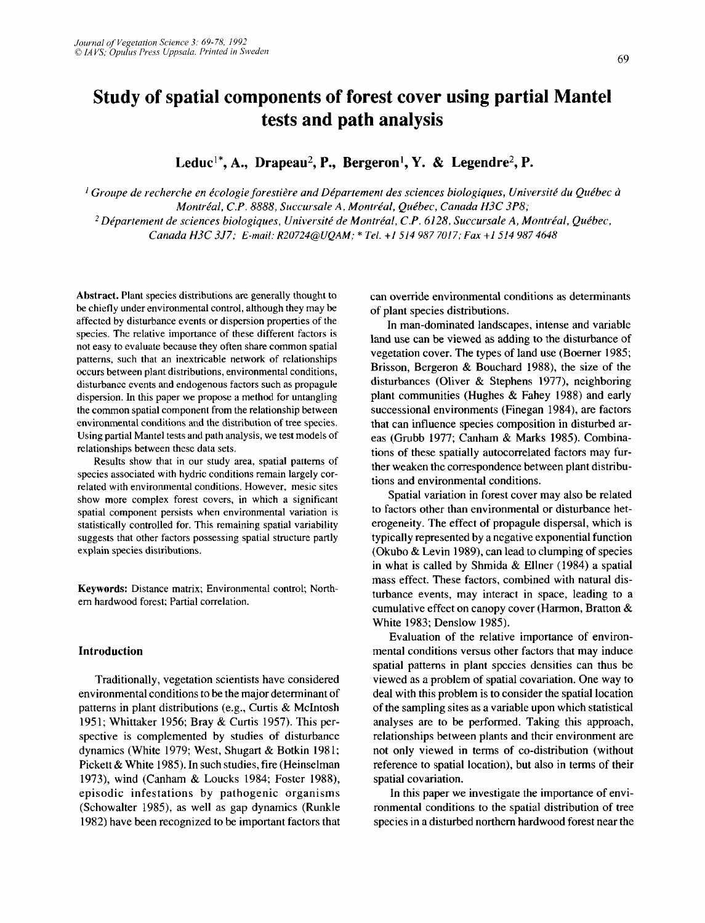# **Study of spatial components of forest cover using partial Mantel tests and path analysis**

Leduc<sup>1\*</sup>, A., Drapeau<sup>2</sup>, P., Bergeron<sup>1</sup>, Y. & Legendre<sup>2</sup>, P.

<sup>1</sup> Groupe de recherche en écologie forestière and Département des sciences biologiques, Université du Québec à *Montréal, C.P. 8888, Succursale A, Montréal, Québec, Canada H3C 3P8; Dkpartement de sciences biologiques, Universite' de Montrbal, C.P. 6128, Succursale A, Monti-kal, Que'bec, Canada H3C 357; E-mail: R20724QUQAM:* **f** *Tel. il514 987 7017; Fux +I 514 987 4648* 

Abstract. Plant species distributions are generally thought to be chiefly under environmental control, although they may be affected by disturbance events or dispersion properties of the species. The relative importance of these different factors is not easy to evaluate because they often share common spatial patterns, such that an inextricable network of relationships occurs between plant distributions, environmental conditions, disturbancc events and endogenous factors such as propagule dispersion. In this paper we propose a method for untangling the common spatial component from the relationship between environmental conditions and the distribution of tree species. Using partial Mantel tests and path analysis, we test models of relationships between these data sets.

Results show that in our study area, spatial patterns of species associated with hydric conditions remain largely correlated with environmental conditions. However, mesic sites show more complex forest covers, in which a significant spatial component persists when environmental variation **is**  statistically controlled for. This remaining spatial variability suggests that other factors possessing spatial structure partly explain species distributions.

Keywords: Distance matrix; Environmental control; Northem hardwood forest; Partial correlation.

## **Introduction**

Traditionally, vegetation scientists have considered environmental conditions to be the major determinant of patterns in plant distributions (e.g., Curtis & McIntosh 1951; Whittaker 1956; Bray & Curtis 1957). This perspective is complemented by studies of disturbance dynamics (White 1979; West, Shugart & Botkin 1981; Pickett & White 1985). In such studies, fire (Heinselman 1973), wind (Canham & Loucks 1984; Foster 1988), episodic infestations by pathogenic organisms (Schowalter 1985), as well as gap dynamics (Runkle 1982) have been recognized to be important factors that can override environmental conditions as determinants of plant species distributions.

In man-dominated landscapes, intense and variable land use can be viewed as adding to the disturbance of vegetation cover. The types of land use (Boerner 1985; Brisson, Bergeron & Bouchard 1988), the size of the disturbances (Oliver & Stephens 1977), neighboring plant communities (Hughes & Fahey 1988) and early successional environments (Finegan 1984), are factors that can influence species composition in disturbed areas (Grubb 1977; Canham & Marks 1985). Combinations of these spatially autocorrelated factors may further weaken the correspondence between plant distributions and environmental conditions.

Spatial variation in forest cover may also be related to factors other than environmental or disturbance heterogeneity. The effect of propagule dispersal, which is typically represented by a negative exponential function (Okubo & Levin 1989), can lead to clumping of species in what is called by Shmida & Ellner (1984) a spatial mass effect. These factors, combined with natural disturbance events, may interact in space, leading to a cumulative effect on canopy cover (Harmon, Bratton & White 1983; Denslow 1985).

Evaluation of the relative importance of environmental conditions versus other factors that may induce spatial patterns in plant species densities can thus be viewed as a problem of spatial covariation. One way to deal with this problem is to consider the spatial location of the sampling sites as a variable upon which statistical analyses are to be performed. Taking this approach, relationships between plants and their environment are not only viewed in terms of co-distribution (without reference to spatial location), but also in terms of their spatial covariation.

In this paper we investigate the importance of environmental conditions to the spatial distribution of tree species in a disturbed northern hardwood forest near the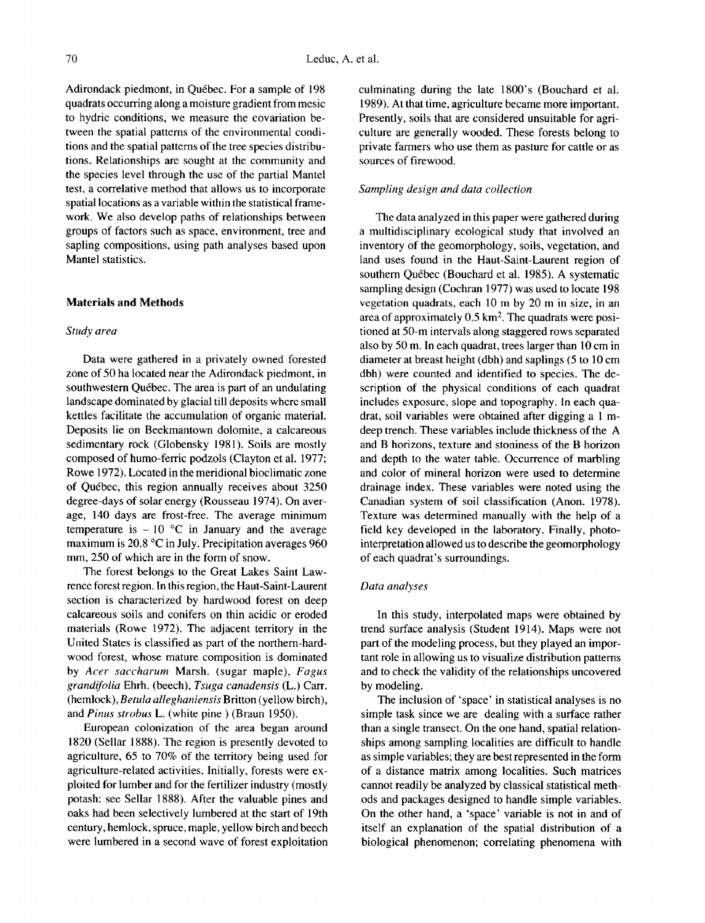Adirondack piedmont, in Québec. For a sample of 198 quadrats occurring along a moisture gradient from mesic to hydric conditions, we measure the covariation between the spatial patterns of the environmental conditions and the spatial patterns of the tree species distributions. Relationships are sought at the community and the species level through the use of the partial Mantel test, a correlative method that allows us to incorporate spatial locations as a variable within the statistical framework. We also develop paths of relationships between groups of factors such as space, environment, tree and sapling compositions, using path analyses based upon Mantel statistics.

## **Materials and Methods**

# *Study area*

Data were gathered in a privately owned forested zone of 50 ha located near the Adirondack piedmont, in southwestern Québec. The area is part of an undulating landscape dominated by glacial till deposits whcrc small kettles facilitate the accumulation of organic material. Deposits lie on Beekmantown dolomite, a calcareous sedimentary rock (Globensky 1981). Soils are mostly composed of humo-ferric podzols (Clayton et al. 1977; Rowe 1972). Located in the meridional bioclimatic zone of Quebec, this region annually receives about 3250 degree-days of solar energy (Rousseau 1974). On average, 140 days are frost-free. The average minimum temperature is  $-10$  °C in January and the average maximum is 20.8 "C in July. Precipitation averages 960 mm, 250 of which are in the form of snow.

The forest belongs to the Great Lakes Saint Lawrence forest region. In this region, the Haut-Saint-Laurent section is characterized by hardwood forest on deep calcareous soils and conifers on thin acidic or eroded materials (Rowe 1972). The adjacent territory in the United States is classified as part of the northern-hardwood forest, whose mature composition is dominated by *Acer saccharum* Marsh. (sugar maple), *Fagus grandifolia* Ehrh. (beech), *Tsuga canadensis* (L.) Cam. (hemlock), *Betula alleghaniensis* Britton (yellow birch), and *Pinus strobus* L. (white pine ) (Braun 1950).

European colonization of the area began around 1820 (Sellar 1888). The region is presently devoted to agriculture, 65 to 70% of the territory being used for agriculture-related activities. Initially, forests were exploited **for** lumber and for the fertilizer industry (mostly potash: see Sellar 1888). After the valuable pines and oaks had been selectively lumbered at the start of 19th century, hemlock, spruce, maple, yellow birch and beech were lumbered in a second wave of forest exploitation culminating during the late 1800's (Bouchard et al. 1989). At that time, agriculture became more important. Presently, soils that are considered unsuitable for agriculture are generally wooded. These forests belong to private farmers who use them as pasture for cattle or as sources of firewood.

## *Sampling design and data collection*

The data analyzed in this paper were gathered during a multidisciplinary ecological study that involved an inventory of the geomorphology, soils, vegetation, and land uses found in the Haut-Saint-Laurent region of southern Québec (Bouchard et al. 1985). A systematic sampling design (Cochran 1977) was used to locate 198 vegetation quadrats, each 10 m by 20 m in size, in an area of approximately  $0.5 \text{ km}^2$ . The quadrats were positioned at 50-m intervals along staggered rows separated also by 50 m. In each quadrat, trees larger than 10 cm in diameter at breast height (dbh) and saplings (5 to 10 cm dbh) were counted and identified to species. The description of the physical conditions of each quadrat includes exposure, slope and topography. **In** each quadrat, soil variables were obtained after digging a **1** mdeep trench. These variables include thickness of the **A**  and B horizons, texture and stoniness of the **B** horizon and depth to the water table. Occurrence of marbling and color of mineral horizon were used to determine drainage index. These variables were noted using the Canadian system of soil classification **(Anon.** 1978). Texture was determined manually with the help of a field key developed in the laboratory. Finally, photointerpretation allowed **us** to describe the geomorphology of each quadrat's surroundings.

# *Data analyses*

In this study, interpolated maps were obtained by trend surface analysis (Student 1914). Maps were not part of the modeling process, but they played an important role in allowing us to visualize distribution patterns and to check the validity of the relationships uncovered by modeling.

The inclusion of 'space' in statistical analyses is no simple task since we are dealing with a surface rather than a single transect. On the one hand, spatial relationships among sampling localities are difficult to handle as simple variables; they are best represented in the form of a distance matrix among localities. Such matrices cannot readily be analyzed by classical statistical methods and packages designed to handle simple variables. On the other hand, a 'space' variable is not in and of itself an explanation of the spatial distribution of a biological phenomenon; correlating phenomena with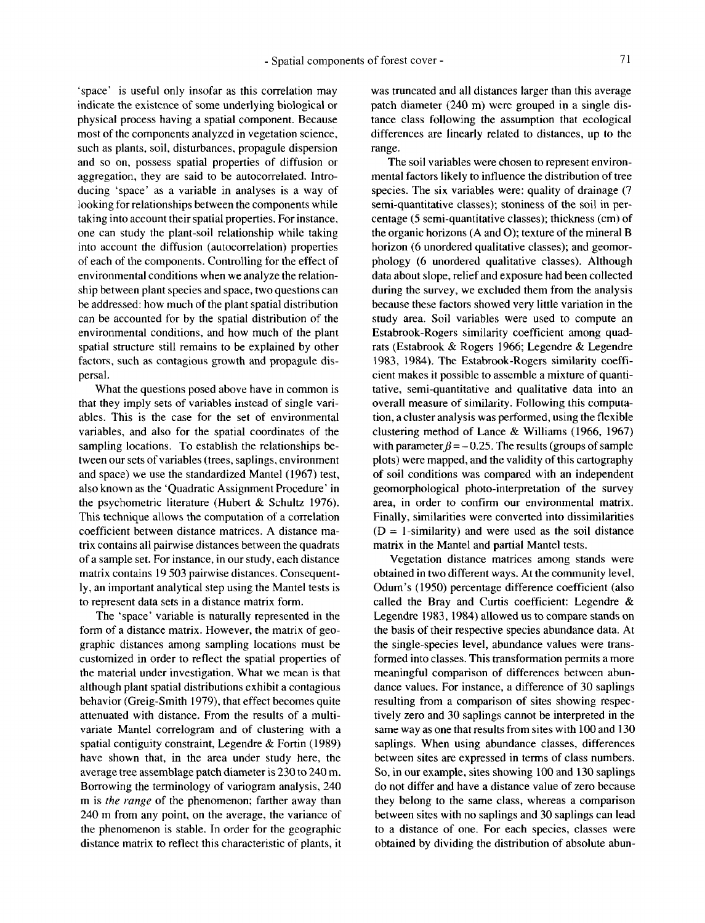'space' is useful only insofar as this correlation may indicate the existence of some underlying biological or physical process having a spatial component. Because most of the components analyzed in vegetation science, such as plants, soil, disturbances, propagule dispersion and so on, possess spatial properties of diffusion or aggregation, they are said to be autocorrelated. Introducing 'space' as a variable in analyses is a way of looking for relationships between the components while taking into account their spatial properties. For instance, one can study the plant-soil relationship while taking into account the diffusion (autocorrelation) properties of each of the components. Controlling for the effect of environmental conditions when we analyze the relationship between plant species and space, two questions can be addressed: how much of the plant spatial distribution can be accounted for by the spatial distribution of the environmental conditions, and how much of the plant spatial structure still remains to be explained by other factors, such as contagious growth and propagule dispersal.

What the questions posed above have in common is that they imply sets of variables instead of single variables. This is the case for the set of environmental variables, and also **for** the spatial coordinates of the sampling locations. To establish the relationships between our sets of variables (trees, saplings, environment and space) we use the standardized Mantel (1967) test, also known as the 'Quadratic Assignment Procedure' in the psychometric literature (Hubert & Schultz 1976). This technique allows the computation of a correlation coefficient between distance matrices. **A** distance matrix contains all pairwise distances between the quadrats of a sample set. For instance, in our study, each distance matrix contains 19 503 pairwise distances. Consequently, an important analytical step using the Mantel tests is to represent data sets in a distance matrix form.

The 'space' variable is naturally represented in the form of a distance matrix. However, the matrix of geographic distances among sampling locations must be customized in order to reflect the spatial properties of the material under investigation. What we mean is that although plant spatial distributions exhibit a contagious behavior (Greig-Smith 1979), that effect becomes quite attenuated with distance. From the results of a multivariate Mantel correlogram and of clustering with a spatial contiguity constraint, Legendre & Fortin (1989) have shown that, in the area under study here, the average tree assemblage patch diameter is 230 to 240 m. Borrowing the terminology of variogram analysis, 240 m is *the range* of the phenomenon; farther away than 240 m from any point, on the average, the variance of the phenomenon is stable. In order for the geographic distance matrix to reflect this characteristic of plants, it was truncated and all distances larger than this average patch diameter (240 m) were grouped in a single distance class following the assumption that ecological differences are linearly related to distances, up to the range.

The soil variables were chosen to represent environmental factors likely to influence the distribution of tree species. The six variables were: quality of drainage (7 semi-quantitative classes); stoniness of the soil in percentage *(5* semi-quantitative classes); thickness (cm) of the organic horizons **(A** and *0);* texture of the mineral B horizon (6 unordered qualitative classes); and geomorphology (6 unordered qualitative classes). Although data about slope, relief and exposure had been collected during the survey, we excluded them from the analysis because these factors showed very little variation in the study area. Soil variables were used to compute an Estabrook-Rogers similarity coefficient among quadrats (Estabrook & Rogers 1966; Legendre & Legendre 1983, 1984). The Estabrook-Rogers similarity coefficient makes it possible to assemble a mixture of quantitative, semi-quantitative and qualitative data into an overall measure of similarity. Following this computation, a cluster analysis was performed, using the flexible clustering method of Lance & Williams (1966, 1967) with parameter  $\beta = -0.25$ . The results (groups of sample plots) were mapped, and the validity of this cartography **of** soil conditions was compared with an independent geomorphological photo-interpretation of the survey area, in order to confirm our environmental matrix. Finally, similarities were converted into dissimilarities  $(D = 1$ -similarity) and were used as the soil distance matrix in the Mantel and partial Mantel tests.

Vegetation distance matrices among stands were obtained in two different ways. At the community level, Odum's ( 1950) percentage difference coefficient (also called the Bray and Curtis coefficient: Legendre & Legendre 1983,1984) allowed **us** to compare stands on the basis of their respective species abundance data. At the single-species level, abundance values were transformed into classes. This transformation permits a more meaningful comparison **of** differences between abundance values. For instance, a difference of **30** saplings resulting from a comparison of sites showing respectively zero and 30 saplings cannot be interpreted in the same way as one that results from sites with 100 and **130**  saplings. When using abundance classes, differences between sites are expressed in terms of class numbers. So, in **our** example, sites showing 100 and 130 saplings do not differ and have a distance value of zero because they belong to the same class, whereas a comparison between sites with no saplings and **30** saplings can lead to a distance of one. For each species, classes were obtained by dividing the distribution of absolute abun-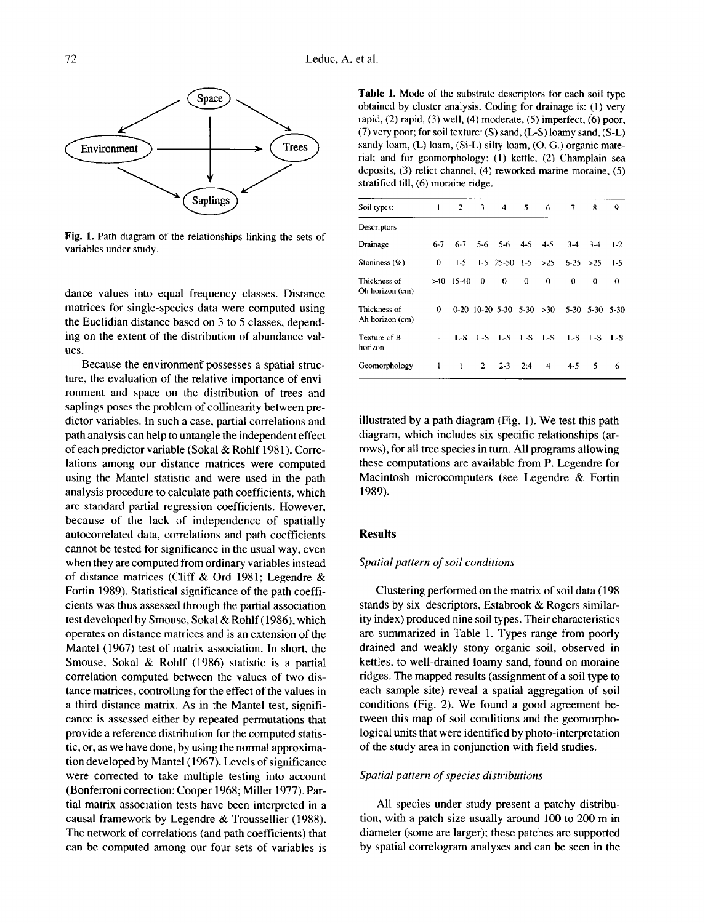

**Fig. 1.** Path diagram of the relationships linking the sets of variables under study.

dance values into equal frequency classes. Distance matrices for single-species data were computed using the Euclidian distance based on 3 to 5 classes, depending on the extent of the distribution of abundance values.

Because the environmenf possesses a spatial structure, the evaluation of the relative importance of environment and space on the distribution of trees and saplings poses the problem of collinearity between predictor variables. In such a case, partial correlations and path analysis can help to untangle the independent effect of each predictor variable (Sokal & Rohlf 1981). Correlations among our distance matrices were computed using the Mantel statistic and were used in the path analysis procedure to calculate path coefficients, which are standard partial regression coefficients. However, because of the lack of independence of spatially autocorrelated data, correlations and path coefficients cannot be tested for significance in the usual way, even when they are computed from ordinary variables instead of distance matrices (Cliff & Ord 1981; Legendre & Fortin 1989). Statistical significance of the path coefficients was thus assessed through the partial association test developed by Smouse, Sokal & Rohlf (1986), which operates on distance matrices and is an extension of the Mantel (1967) test of matrix association. In short, the Smouse, Sokal & Rohlf (1986) statistic is a partial correlation computed between the values of two distance matrices, controlling for the effect of the values in a third distance matrix. As in the Mantel test, significance is assessed either by repeated permutations that provide a reference distribution for the computed statistic, or, as we have done, by using the normal approximation developed by Mantel (1967). Levels of significance were corrected to take multiple testing into account (Bonferroni correction: Cooper 1968; Miller 1977). Partial matrix association tests have been interpreted in a causal framework by Legendre & Troussellier (1988). The network of correlations (and path coefficients) that can be computed among our four sets of variables is

**Table 1.** Mode of the substrate descriptors for each soil type obtained by cluster analysis. Coding for drainage **is:** (1) very rapid, (2) rapid, (3) well, **(4)** moderate, (5) imperfect, *(6)* poor, (7) very poor; for soil texture: *(S)* sand, (L-S) loamy sand, **(S-L)**  sandy loam, (L) loam, (Si-L) silty loam, (O. G.) organic material; and for geomorphology: (1) kettle, (2) Champlain sea deposits, (3) relict channel, **(4)** reworked marine moraine, *(5)*  stratified till, (6) moraine ridge.

| Soil types:                     | 1       | $\mathbf{2}$ | 3           | $\overline{4}$             | 5   | 6 | 7           | 8              | 9     |
|---------------------------------|---------|--------------|-------------|----------------------------|-----|---|-------------|----------------|-------|
| Descriptors                     |         |              |             |                            |     |   |             |                |       |
| Drainage                        | $6 - 7$ |              |             | $6-7$ 5-6 5-6 4-5 4-5      |     |   | $3-4$       | $3-4$          | $1-2$ |
| Stoniness $(\%)$                | 0       | $1-5$        |             | $1-5$ 25-50 $1-5$ >25      |     |   | $6-25 > 25$ |                | $1-5$ |
| Thickness of<br>Oh horizon (cm) |         | $>40$ 15-40  | $\bf{0}$    | $\bf{0}$                   | 0   | 0 | 0           | 0              | 0     |
| Thickness of<br>Ah horizon (cm) | 0       |              |             | $0-20$ 10-20 5-30 5-30 >30 |     |   |             | 5-30 5-30 5-30 |       |
| Texture of B<br>horizon         |         |              |             | L-S L-S L-S L-S L-S        |     |   |             | $L-S$ $L-S$    | - L-S |
| Geomorphology                   | 1       | 1            | $2^{\circ}$ | $2 - 3$                    | 2:4 | 4 | $4 - 5$     | 5              | 6     |

illustrated by a path diagram (Fig. 1). We test this path diagram, which includes six specific relationships (arrows), for all tree species in turn. All programs allowing these computations are available from **P.** Legendre **for**  Macintosh microcomputers (see Legendre & Fortin 1989).

#### **Results**

#### *Spatial pattern of soil conditions*

Clustering performed on the matrix of soil data (198 stands by six descriptors, Estabrook & Rogers similarity index) produced nine soil types. Their characteristics are summarized in Table 1. Types range from poorly drained and weakly stony organic soil, observed in kettles, to well-drained loamy sand, found on moraine ridges. The mapped results (assignment of a soil type to each sample site) reveal a spatial aggregation of soil conditions (Fig. *2).* We found a good agreement between this map of soil conditions and the geomorphological units that were identified by photo-interpretation of the study area in conjunction with field studies.

## *Spatial pattern of species distributions*

All species under study present a patchy distribution, with a patch size usually around 100 to **200** m in diameter (some are larger); these patches are supported by spatial correlogram analyses and can be seen in the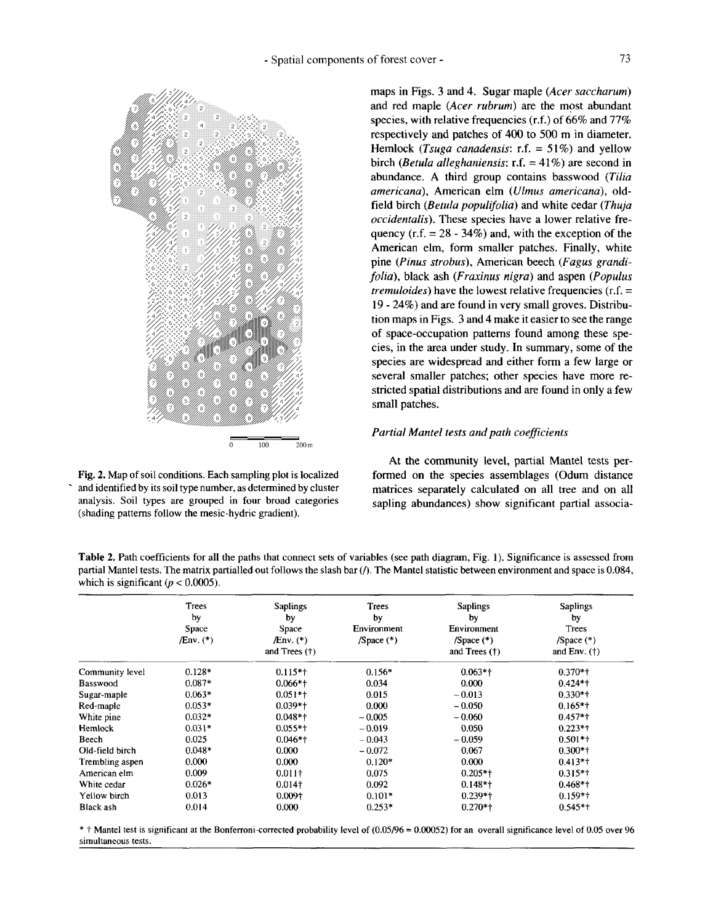

**Fig. 2. Map of soil conditions. Each sampling plot is localized**  . **and identified by its soil type number, as determined by cluster analysis. soil types are grouped in four broad categories (shading patterns follow the mesic-hydric gradient).** 

maps in Figs. 3 and 4. Sugar maple *(Acer saccharum)*  and red maple *(Acer rubrum)* are the most abundant species, with relative frequencies **(r.f.)** of 66% and 77% respectively and patches of **400** to 500 m in diameter. Hemlock *(Tsuga canadensis:* r.f. = 51%) and yellow birch *(Betula alleghaniensis:* r.f. = 41%) are second in abundance. A third group contains basswood *(Tilia*  arnericana), American elm *(Ulmus americana),* oldfield birch *(Betula populijolia)* and white cedar *(Thuja occidentalis).* These species have a lower relative frequency (r.f.  $= 28 - 34\%$ ) and, with the exception of the American elm, form smaller patches. Finally, white pine *(Pinus* strobus), American beech *(Fagus grandifolia),* black ash *(Fraxinus nigra)* and aspen *(Populus tremuloides)* have the lowest relative frequencies **(r.f.** = 19 - 24%) and are found in very small groves. Distribution maps in Figs. 3 and 4 make it easier to see the range of space-occupation patterns found among these species, in the area under study. In summary, some of the species are widespread and either form a few large or several smaller patches; other species have more restricted spatial distributions and are found in only a few small patches.

# *Partial Mantel tests and path coeficients*

At the community level, partial Mantel tests performed on the species assemblages (Odum distance matrices separately calculated on all tree and on all sapling abundances) show significant partial associa-

**Table 2. Path coefficients for all the paths that connect sets of variables (see path diagram, Fig. 1). Significance is assessed from partial Mantel tests. The matrix partialled out follows the slash bar** *(0.* **The Mantel statistic between environment and space is 0.084,**  which is significant  $(p < 0.0005)$ .

|                 | Trees<br>by<br>Space<br>$/Env.$ (*) | <b>Saplings</b><br>by<br>Space<br>/Env. (*)<br>and Trees $(†)$ | Trees<br>by<br>Environment<br>$/Space (*)$ | <b>Saplings</b><br>by<br>Environment<br>$/Space$ (*)<br>and Trees $(†)$ | <b>Saplings</b><br>by<br>Trees<br>$/Space (*)$<br>and $Env.$ (†) |
|-----------------|-------------------------------------|----------------------------------------------------------------|--------------------------------------------|-------------------------------------------------------------------------|------------------------------------------------------------------|
| Community level | $0.128*$                            | $0.115*$                                                       | $0.156*$                                   | $0.063*$ †                                                              | $0.370**$                                                        |
| <b>Basswood</b> | $0.087*$                            | $0.066*+$                                                      | 0.034                                      | 0.000                                                                   | $0.424**$                                                        |
| Sugar-maple     | $0.063*$                            | $0.051**$                                                      | 0.015                                      | $-0.013$                                                                | $0.330**$                                                        |
| Red-maple       | $0.053*$                            | $0.039*+$                                                      | 0.000                                      | $-0.050$                                                                | $0.165**$                                                        |
| White pine      | $0.032*$                            | $0.048*$                                                       | $-0.005$                                   | $-0.060$                                                                | $0.457**$                                                        |
| Hemlock         | $0.031*$                            | $0.055**$                                                      | $-0.019$                                   | 0.050                                                                   | $0.223*$                                                         |
| Beech           | 0.025                               | $0.046*$ †                                                     | $-0.043$                                   | $-0.059$                                                                | $0.501**$                                                        |
| Old-field birch | $0.048*$                            | 0.000                                                          | $-0.072$                                   | 0.067                                                                   | $0.300*$ †                                                       |
| Trembling aspen | 0.000                               | 0.000                                                          | $0.120*$                                   | 0.000                                                                   | $0.413*$                                                         |
| American elm    | 0.009                               | $0.011\dagger$                                                 | 0.075                                      | $0.205*$                                                                | $0.315**$                                                        |
| White cedar     | $0.026*$                            | $0.014\dagger$                                                 | 0.092                                      | $0.148*$                                                                | $0.468*$ †                                                       |
| Yellow birch    | 0.013                               | $0.009\dagger$                                                 | $0.101*$                                   | $0.239**$                                                               | $0.159**$                                                        |
| Black ash       | 0.014                               | 0.000                                                          | $0.253*$                                   | $0.270**$                                                               | $0.545**$                                                        |

\* t **Mantel test is significant at the Bonferroni-corrected probability level of** (0.05/96 = 0.00052) **for an overall significance level** of 0.05 **over** 96 **simultaneous tests.**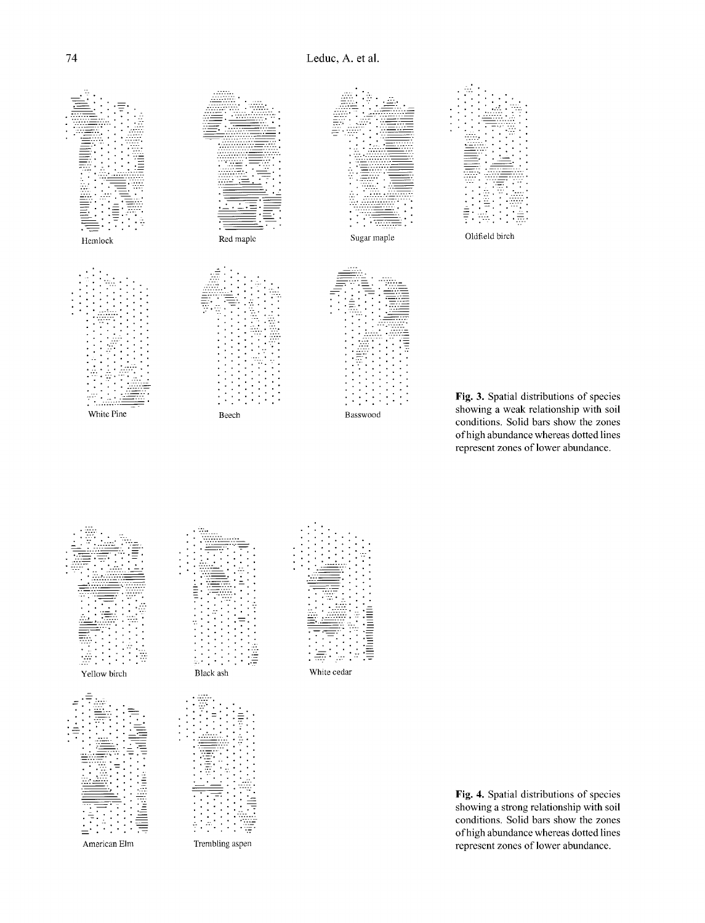

**Fig. 3.** Spatial distributions of species showing a weak relationship with soil conditions. Solid bars show the zones of high abundance whereas dotted lines represent zones of lower abundance.



**Fig. 4.** Spatial distributions of species showing a strong relationship with soil conditions. Solid bars show the zones of high abundance whereas dotted lines represent zones of lower abundance.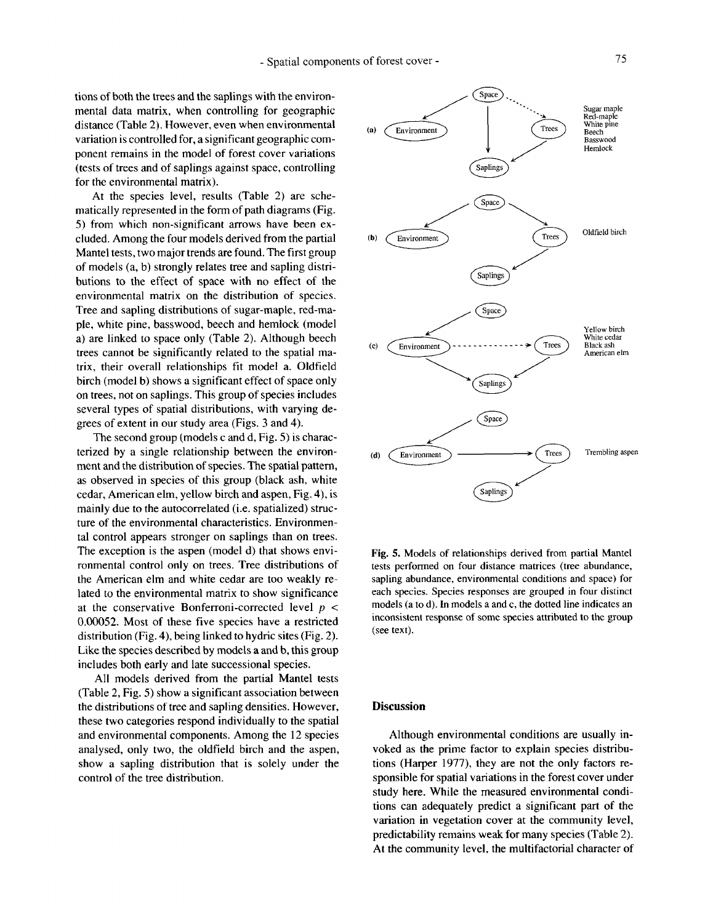tions of both the trees and the saplings with the environmental data matrix, when controlling for geographic distance (Table 2). However, even when environmental variation is controlled for, a significant geographic component remains in the model of forest cover variations (tests of trees and of saplings against space, controlling for the environmental matrix).

At the species level, results (Table 2) are schematically represented in the form of path diagrams (Fig. 5) from which non-significant arrows have been excluded. Among the four models derived from the partial Mantel tests, two major trends are found. The first group of models (a, b) strongly relates tree and sapling distributions to the effect of space with no effect of the environmental matrix on the distribution of species. Tree and sapling distributions of sugar-maple, red-maple, white pine, basswood, beech and hemlock (model a) are linked to space only (Table 2). Although beech trees cannot be significantly related to the spatial matrix, their overall relationships fit model a. Oldfield birch (model b) shows a significant effect of space only on trees, not on saplings. This group of species includes several types of spatial distributions, with varying degrees of extent in our study area (Figs. *3* and 4).

The second group (models c and d, Fig. 5) is characterized by a single relationship between the environment and the distribution of species. The spatial pattern, as observed in species of this group (black ash, white cedar, American elm, yellow birch and aspen, Fig. **4), is**  mainly due to the autocorrelated (i.e. spatialized) structure of the environmental characteristics. Environmental control appears stronger on saplings than on trees. The exception is the aspen (model d) that shows environmental control only on trees. Tree distributions of the American elm and white cedar are too weakly related to the environmental matrix to **show** significance at the conservative Bonferroni-corrected level *p* < **0.00052.** Most of these five species have a restricted distribution (Fig. 4), being linked to hydric sites (Fig. 2). **Like** the species described by models a and b, this group includes both early and late successional species.

All models derived from the partial Mantel tests (Table 2, Fig. 5) show a significant association between the distributions of tree and sapling densities. However, these two categories respond individually to the spatial and environmental components. Among the 12 species analysed, only two, the oldfield birch and the aspen, show a sapling distribution that is solely under the control of the tree distribution.



**Fig.** *5.* Models of relationships derived from partial Mantel tests performed on four distance matrices (tree abundance, sapling abundance, environmental conditions and space) **for**  each species. Species responses are grouped in four distinct models (a to d). In models a and c, the dotted line indicates an inconsistent response of **some** species attributed to the **group**  (see text).

### **Discussion**

Although environmental conditions are usually invoked as the prime factor to explain species distributions (Harper 1977), they are not the only factors responsible for spatial variations in the forest cover under study here. While the measured environmental conditions can adequately predict a significant part of the variation in vegetation cover at the community level, predictability remains weak for many species (Table 2). At the community level, the multifactorial character of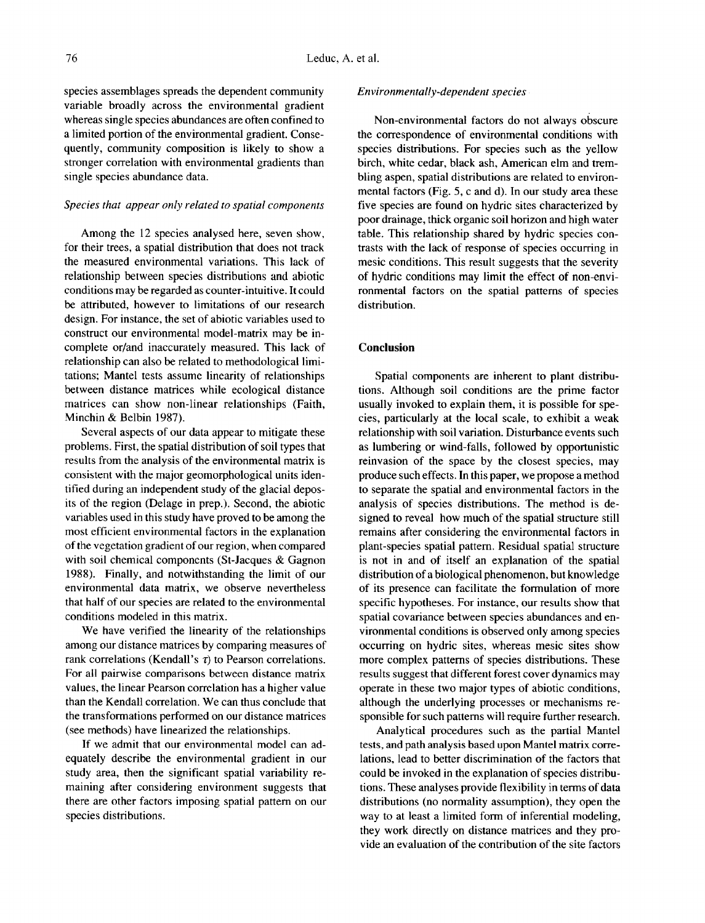species assemblages spreads the dependent community variable broadly across the environmental gradient whereas single species abundances are often confined to a limited portion of the environmental gradient. Consequently, community composition is likely to show a stronger correlation with environmental gradients than single species abundance data.

# *Species that appear only related to spatial components*

Among the 12 species analysed here, seven show, for their trees, a spatial distribution that does not track the measured environmental variations. This lack of relationship between species distributions and abiotic conditions may be regarded as counter-intuitive. It could be attributed, however to limitations of our research design. For instance, the set of abiotic variables used to construct our environmental model-matrix may be incomplete or/and inaccurately measured. This lack of relationship can also be related to methodological limitations; Mantel tests assume linearity of relationships between distance matrices while ecological distance matrices can show non-linear relationships (Faith, Minchin & Belbin 1987).

Several aspects of our data appear to mitigate these problems. First, the spatial distribution of soil types that results from the analysis of the environmental matrix is consistent with the major geomorphological units identified during **an** independent study of the glacial deposits of the region (Delage in prep.). Second, the abiotic variables used in this study have proved to be among the most efficient environmental factors in the explanation of the vegetation gradient of our region, when compared with soil chemical components (St-Jacques & Gagnon 1988). Finally, and notwithstanding the limit of our environmental data matrix, we observe nevertheless that half of our species are related to the environmental conditions modeled in this matrix.

We have verified the linearity of the relationships among our distance matrices by comparing measures of rank correlations (Kendall's  $\tau$ ) to Pearson correlations. For all pairwise comparisons between distance matrix values, the linear Pearson correlation has a higher value than the Kendall correlation. We can thus conclude that the transformations performed on our distance matrices (see methods) have linearized the relationships.

**If** we admit that our environmental model can adequately describe the environmental gradient in our study area, then the significant spatial variability remaining after considering environment suggests that there are other factors imposing spatial pattern on our species distributions.

#### *Environmentally-dependent species*

Non-environmental factors do not always obscure the correspondence of environmental conditions with species distributions. For species such as the yellow birch, white cedar, black ash, American elm and trembling aspen, spatial distributions are related to environmental factors (Fig. 5, c and d). In our study area these five species are found on hydric sites characterized by poor drainage, thick organic soil horizon and high water table. This relationship shared by hydric species contrasts with the lack of response **of** species occurring in mesic conditions. This result suggests that the severity of hydric conditions may limit the effect of non-environmental factors on the spatial patterns of species distribution.

# **Conclusion**

Spatial components are inherent to plant distributions. Although soil conditions are the prime factor usually invoked to explain them, it is possible for species, particularly at the local scale, to exhibit a weak relationship with soil variation. Disturbance events such as lumbering or wind-falls, followed by opportunistic reinvasion of the space by the closest species, may produce such effects. **In** this paper, we propose a method to separate the spatial and environmental factors in the analysis of species distributions. The method is designed to reveal how much of the spatial structure still remains after considering the environmental factors in plant-species spatial pattern. Residual spatial structure is not in and of itself an explanation of the spatial distribution of a biological phenomenon, but knowledge of its presence can facilitate the formulation of more specific hypotheses. For instance, our results show that spatial covariance between species abundances and environmental conditions is observed only among species occurring on hydric sites, whereas mesic sites show more complex patterns of species distributions. These results suggest that different forest cover dynamics may operate in these two major types of abiotic conditions, although the underlying processes or mechanisms responsible for such patterns will require further research.

Analytical procedures such as the partial Mantel tests, **and** path analysis based upon Mantel matrix correlations, lead to better discrimination of the factors that could be invoked in the explanation of species distributions. These analyses provide flexibility in terms of data distributions (no normality assumption), they open the way to at least a limited form of inferential modeling, they work directly on distance matrices and they provide an evaluation of the contribution of the site factors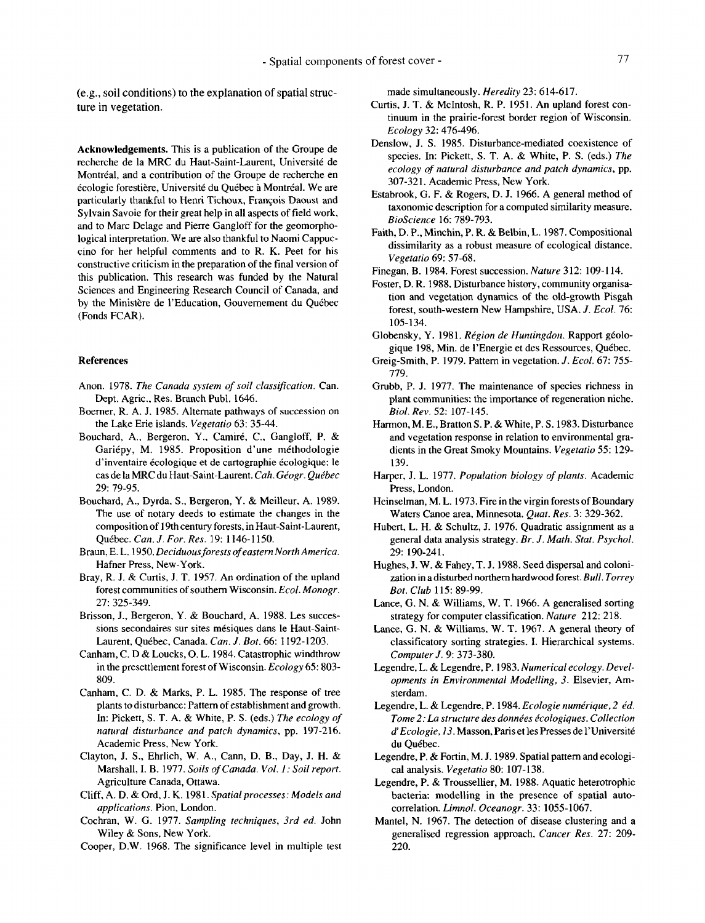(e.g., soil conditions) to the explanation of spatial structure in vegetation.

**Acknowledgements.** This is a publication of the Groupe de recherche de la MRC du Haut-Saint-Laurent, Universite de Montréal, and a contribution of the Groupe de recherche en écologie forestière, Université du Québec à Montréal. We are particularly thankful to Henri Tichoux, François Daoust and Sylvain Savoie for their great help in all aspects of field work, and to Marc Delage and Pierre Gangloff for the geomorphological interpretation. We are also thankful to Naomi Cappuccino for her helpful comments and to R. K. Peet for his constructive criticism in the preparation of the final version of this publication. This research was funded by the Natural Sciences and Engineering Research Council of Canada, and by the Ministère de l'Education, Gouvernement du Québec (Fonds FCAR).

#### **References**

- Anon. 1978. *The Canada system of soil classification.* Can. Dept. Agric., Res. Branch Publ. 1646.
- Boerner, R. A. J. 1985. Alternate pathways of succession on the Lake Erie islands. *Vegetatio* 63: 35-44.
- Bouchard, A., Bergeron, Y., Camiré, C., Gangloff, P. & Gariépy, M. 1985. Proposition d'une méthodologie d'inventaire écologique et de cartographie écologique: le cas de la MRC du Haut-Saint-Laurent. *Cah. Geogr. Quibec*  29: 79-95.
- Bouchard, A., Dyrda, S., Bergeron, Y. & Meilleur, A. 1989. The use of notary deeds to estimate the changes in the composition of 19th century forests, in Haut-Saint-Laurent, Qukbec. *Can. J. For. Res.* 19: 1146-1 150.
- Braun, E. L. 1950. *Deciduous forests of eastern North America.*  Hafner Press, New-York.
- Bray, R. J. & Curtis, J. T. 1957. An ordination of the upland forest communities of southern Wisconsin. *Ecol. Monogr.*  27: 325-349.
- Brisson, J., Bergeron, Y. & Bouchard, A. 1988. Les successions secondaires **sur** sites mesiques dans **b** Haut-Saint-Laurent, Québec, Canada. *Can. J. Bot.* 66: 1192-1203.
- Canham, C. D & Loucks, 0. L. 1984. Catastrophic windthrow in the presettlement forest of Wisconsin. *Ecology* 65: 803- 809.
- Canham, C. D. & Marks, P. L. 1985. The response of tree plants to disturbance: Pattern of establishment and growth. In: Pickett, S. T. A. & White, P. S. (eds.) *The ecology of natural disturbance and patch dynamics,* pp. 197-216. Academic Press, New York.
- Clayton, J. S., Ehrlich, W. A., Cann, D. B., Day, J. H. & Marshall, I. B. 1977. *Soils of Canada. Vol. 1: Soil report.*  Agriculture Canada, Ottawa.
- Cliff, A. D. & Ord, J. K. 1981. *Spatialprocesses: Models and applications.* Pion, London.
- Cochran, W. *G.* 1977. *Sampling techniques, 3rd ed.* John Wiley & Sons, New York.
- Cooper, D.W. 1968. The significance level in multiple test

made simultaneously. *Heredity* 23: 614-617.

- Curtis, J. T. & McIntosh, R. P. 1951. An upland forest continuum in the prairie-forest border region of Wisconsin. *Ecology* 32: 476-496.
- Denslow, J. S. 1985. Disturbance-mediated coexistence of species. In: Pickett, S. T. A. & White, P. S. (eds.) *The ecology of natural disturbance and patch dynamics,* pp. 307-32 **1.** Academic Press, New York.
- Estabrook, G. F. & Rogers, D. J. 1966. **A** general method of taxonomic description for a computed similarity measure. *BioScience* 16: 789-793.
- Faith, D. P., Minchin, P. R. & Belbin, L. 1987. Compositional dissimilarity as a robust measure of ecological distance. *Vegetatio* 69: 57-68.
- Finegan, B. 1984. Forest succession. *Nature* 312: **109-1** 14.
- Foster, D. R. 1988. Disturbance history, community organisation **and** vegetation dynamics of the old-growth Pisgah forest, south-western New Hampshire, USA. J. *Ecol.* 76: 105-1 34.
- Globensky, Y. 1981. *Région de Huntingdon*. Rapport géologique 198, Min. de l'Energie et des Ressources, Québec.
- Greig-Smith, P. 1979. Pattern in vegetation. J. *Ecol.* 67: 755- 779.
- Grubb, P. J. 1977. The maintenance of species richness in plant communities: the importance of regeneration niche. *Biol. Rev.* 52: 107-145.
- Harmon, M. E., Bratton S. P. & White, P. S. 1983. Disturbance and vegetation response in relation to environmental gradients in the Great Smoky Mountains. *Vegetatio 55:* 129- 139.
- Harper, J. L. 1977. *Population biology of plants.* Academic Press, London.
- Heinselman, M. L. 1973. Fire in the virgin forests of Boundary Waters Canoe area, Minnesota. *Quat. Res.* 3: 329-362.
- Hubert, L. H. & Schultz, J. 1976. Quadratic assignment as a general data analysis strategy. *Br. J. Math. Stat. Psychol.*  29: 190-241,
- Hughes, J. W. & Fahey, T. J. 1988. Seed dispersal and colonization in adisturbed northern hardwood forest. *Bull. Torrey Bot. Club* 115: 89-99.
- Lance, G. N. & Williams, W. T. 1966. A generalised sorting strategy for computer classification. *Nature* 212: 218.
- Lance, G. N. & Williams, W. T. 1967. A general theory of classificatory sorting strategies. I. Hierarchical systems. *Computer J.* 9: 373-380.
- Legendre, L. & Legendre, P. 1983. *Numerical ecology. Developments in Environmental Modelling, 3.* Elsevier, Amsterdam.
- Legendre, L. & Legendre, P. 1984. *Ecologie numérique*, 2 éd. *Tome* 2: *La structure des donnies e'cologiques. Collection d' Ecologie, 13.* Masson, Paris et les Presses de 1'Universite du Québec.
- Legendre, P. & Fortin, M. J. 1989. Spatial pattern and ecological analysis. *Vegetatio* 80: 107-138.
- Legendre, P. & Troussellier, M. 1988. Aquatic heterotrophic bacteria: modelling in the presence of spatial autocorrelation. *Limnol. Oceanogr.* 33: 1055-1067.
- Mantel, N. 1967. The detection of disease clustering and a generalised regression approach. *Cancer Res.* 27: 209- 220.